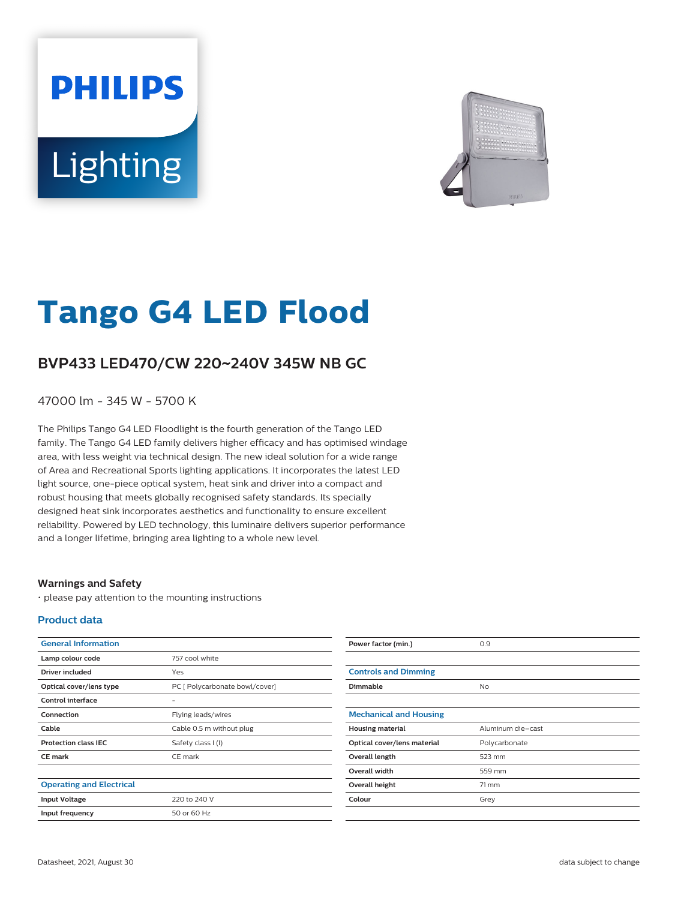# **PHILIPS** Lighting



# **Tango G4 LED Flood**

## **BVP433 LED470/CW 220**~**240V 345W NB GC**

47000 lm - 345 W - 5700 K

The Philips Tango G4 LED Floodlight is the fourth generation of the Tango LED family. The Tango G4 LED family delivers higher efficacy and has optimised windage area, with less weight via technical design. The new ideal solution for a wide range of Area and Recreational Sports lighting applications. It incorporates the latest LED light source, one-piece optical system, heat sink and driver into a compact and robust housing that meets globally recognised safety standards. Its specially designed heat sink incorporates aesthetics and functionality to ensure excellent reliability. Powered by LED technology, this luminaire delivers superior performance and a longer lifetime, bringing area lighting to a whole new level.

#### **Warnings and Safety**

• please pay attention to the mounting instructions

#### **Product data**

| <b>General Information</b>      |                                | Power factor (min.)           | 0.9               |
|---------------------------------|--------------------------------|-------------------------------|-------------------|
| Lamp colour code                | 757 cool white                 |                               |                   |
| <b>Driver included</b>          | Yes                            | <b>Controls and Dimming</b>   |                   |
| Optical cover/lens type         | PC [ Polycarbonate bowl/cover] | Dimmable                      | <b>No</b>         |
| <b>Control interface</b>        | $\overline{\phantom{0}}$       |                               |                   |
| Connection                      | Flying leads/wires             | <b>Mechanical and Housing</b> |                   |
| Cable                           | Cable 0.5 m without plug       | <b>Housing material</b>       | Aluminum die-cast |
| <b>Protection class IEC</b>     | Safety class I (I)             | Optical cover/lens material   | Polycarbonate     |
| <b>CE mark</b>                  | CE mark                        | Overall length                | 523 mm            |
|                                 |                                | Overall width                 | 559 mm            |
| <b>Operating and Electrical</b> |                                | Overall height                | 71 mm             |
| <b>Input Voltage</b>            | 220 to 240 V                   | Colour                        | Grey              |
| Input frequency                 | 50 or 60 Hz                    |                               |                   |
|                                 |                                |                               |                   |